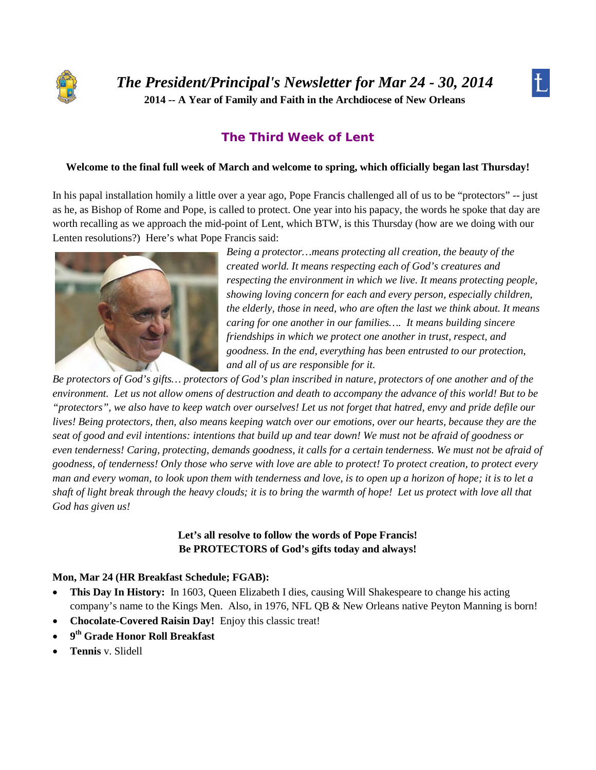



# **The Third Week of Lent**

#### **Welcome to the final full week of March and welcome to spring, which officially began last Thursday!**

In his papal installation homily a little over a year ago, Pope Francis challenged all of us to be "protectors" -- just as he, as Bishop of Rome and Pope, is called to protect. One year into his papacy, the words he spoke that day are worth recalling as we approach the mid-point of Lent, which BTW, is this Thursday (how are we doing with our Lenten resolutions?) Here's what Pope Francis said:



*Being a protector…means protecting all creation, the beauty of the created world. It means respecting each of God's creatures and respecting the environment in which we live. It means protecting people, showing loving concern for each and every person, especially children, the elderly, those in need, who are often the last we think about. It means caring for one another in our families…. It means building sincere friendships in which we protect one another in trust, respect, and goodness. In the end, everything has been entrusted to our protection, and all of us are responsible for it.*

*Be protectors of God's gifts… protectors of God's plan inscribed in nature, protectors of one another and of the environment. Let us not allow omens of destruction and death to accompany the advance of this world! But to be "protectors", we also have to keep watch over ourselves! Let us not forget that hatred, envy and pride defile our lives! Being protectors, then, also means keeping watch over our emotions, over our hearts, because they are the seat of good and evil intentions: intentions that build up and tear down! We must not be afraid of goodness or even tenderness! Caring, protecting, demands goodness, it calls for a certain tenderness. We must not be afraid of goodness, of tenderness! Only those who serve with love are able to protect! To protect creation, to protect every man and every woman, to look upon them with tenderness and love, is to open up a horizon of hope; it is to let a shaft of light break through the heavy clouds; it is to bring the warmth of hope! Let us protect with love all that God has given us!*

## **Let's all resolve to follow the words of Pope Francis! Be PROTECTORS of God's gifts today and always!**

#### **Mon, Mar 24 (HR Breakfast Schedule; FGAB):**

- **This Day In History:** In 1603, Queen Elizabeth I dies, causing Will Shakespeare to change his acting company's name to the Kings Men. Also, in 1976, NFL QB & New Orleans native Peyton Manning is born!
- **Chocolate-Covered Raisin Day!** Enjoy this classic treat!
- **9th Grade Honor Roll Breakfast**
- **Tennis** v. Slidell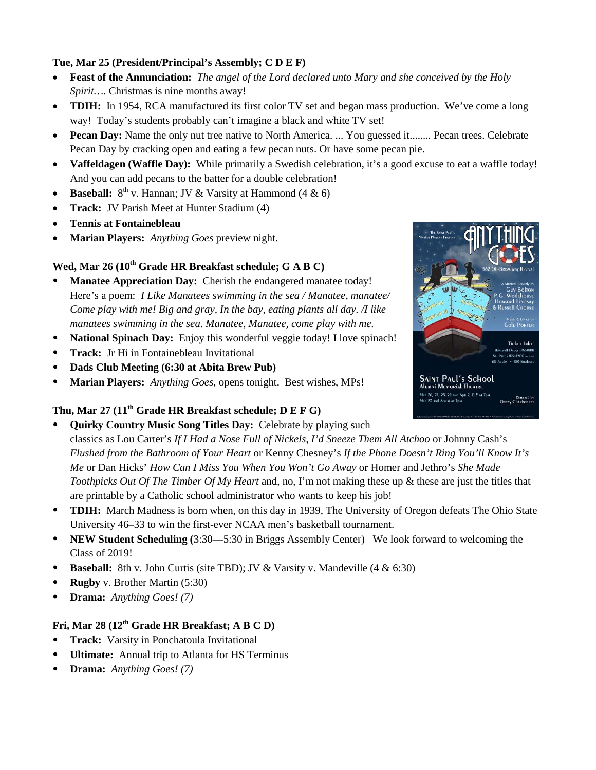## **Tue, Mar 25 (President/Principal's Assembly; C D E F)**

- **Feast of the Annunciation:** *The angel of the Lord declared unto Mary and she conceived by the Holy Spirit….* Christmas is nine months away!
- **TDIH:** In 1954, RCA manufactured its first color TV set and began mass production. We've come a long way! Today's students probably can't imagine a black and white TV set!
- **Pecan Day:** Name the only nut tree native to North America. ... You guessed it........ Pecan trees. Celebrate Pecan Day by cracking open and eating a few pecan nuts. Or have some pecan pie.
- **Vaffeldagen (Waffle Day):** While primarily a Swedish celebration, it's a good excuse to eat a waffle today! And you can add pecans to the batter for a double celebration!
- **Baseball:**  $8^{th}$  v. Hannan; JV & Varsity at Hammond (4 & 6)
- **Track:** JV Parish Meet at Hunter Stadium (4)
- **Tennis at Fontainebleau**
- **Marian Players:** *Anything Goes* preview night.

# Wed, Mar 26 (10<sup>th</sup> Grade HR Breakfast schedule; G A B C)

- **Manatee Appreciation Day:** Cherish the endangered manatee today! Here's a poem: *I Like Manatees swimming in the sea / Manatee, manatee/ Come play with me! Big and gray, In the bay, eating plants all day. /I like manatees swimming in the sea. Manatee, Manatee, come play with me.*
- **National Spinach Day:** Enjoy this wonderful veggie today! I love spinach!
- **Track:** Jr Hi in Fontainebleau Invitational
- **Dads Club Meeting (6:30 at Abita Brew Pub)**
- **Marian Players:** *Anything Goes,* opens tonight. Best wishes, MPs!

# **Thu, Mar 27 (11th Grade HR Breakfast schedule; D E F G)**

- **Quirky Country Music Song Titles Day:** Celebrate by playing such classics as Lou Carter's *If I Had a Nose Full of Nickels, I'd Sneeze Them All Atchoo* or Johnny Cash's *Flushed from the Bathroom of Your Heart* or Kenny Chesney's *If the Phone Doesn't Ring You'll Know It's Me* or Dan Hicks' *How Can I Miss You When You Won't Go Away* or Homer and Jethro's *She Made Toothpicks Out Of The Timber Of My Heart* and, no, I'm not making these up & these are just the titles that are printable by a Catholic school administrator who wants to keep his job!
- **TDIH:** March Madness is born when, on this day in 1939, The University of Oregon defeats The Ohio State University 46–33 to win the first-ever NCAA men's basketball tournament.
- **NEW Student Scheduling (**3:30—5:30 in Briggs Assembly Center) We look forward to welcoming the Class of 2019!
- **Baseball:** 8th v. John Curtis (site TBD); JV & Varsity v. Mandeville  $(4 \& 6:30)$
- **Rugby** v. Brother Martin (5:30)
- **Drama:** *Anything Goes! (7)*

# **Fri, Mar 28 (12th Grade HR Breakfast; A B C D)**

- **Track:** Varsity in Ponchatoula Invitational
- **Ultimate:** Annual trip to Atlanta for HS Terminus
- **Drama:** *Anything Goes! (7)*

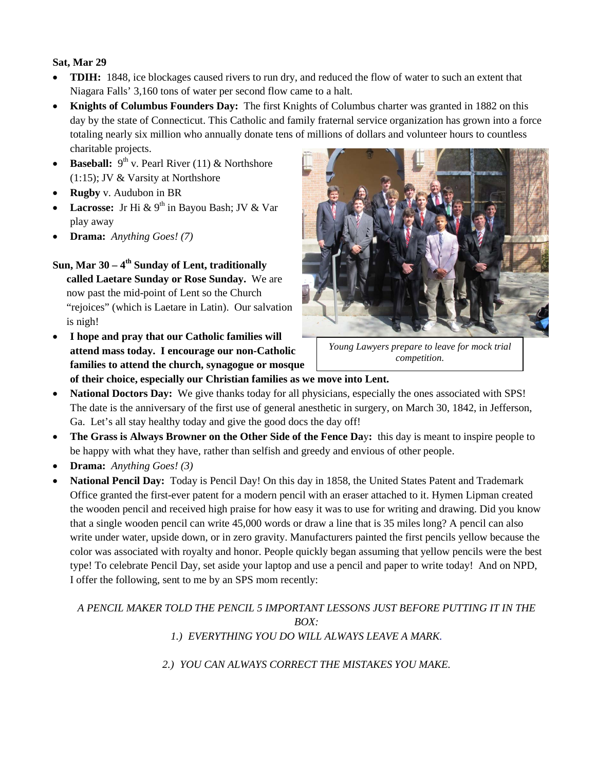## **Sat, Mar 29**

- **TDIH:** 1848, ice blockages caused rivers to run dry, and reduced the flow of water to such an extent that Niagara Falls' 3,160 tons of water per second flow came to a halt.
- **Knights of Columbus Founders Day:** The first Knights of Columbus charter was granted in 1882 on this day by the state of Connecticut. This Catholic and family fraternal service organization has grown into a force totaling nearly six million who annually donate tens of millions of dollars and volunteer hours to countless charitable projects.
- **Baseball:**  $9^{th}$  v. Pearl River (11) & Northshore (1:15); JV & Varsity at Northshore
- **Rugby** v. Audubon in BR
- **Lacrosse:** Jr Hi & 9<sup>th</sup> in Bayou Bash; JV & Var play away
- **Drama:** *Anything Goes! (7)*

Sun. Mar 30 – 4<sup>th</sup> Sunday of Lent, traditionally **called Laetare Sunday or Rose Sunday.** We are now past the mid-point of Lent so the Church "rejoices" (which is Laetare in Latin). Our salvation is nigh!

• **I hope and pray that our Catholic families will attend mass today. I encourage our non-Catholic families to attend the church, synagogue or mosque** 



*Young Lawyers prepare to leave for mock trial competition.*

**of their choice, especially our Christian families as we move into Lent.**

- **National Doctors Day:** We give thanks today for all physicians, especially the ones associated with SPS! The date is the anniversary of the first use of general anesthetic in surgery, on March 30, 1842, in Jefferson, Ga. Let's all stay healthy today and give the good docs the day off!
- **The Grass is Always Browner on the Other Side of the Fence Da**y**:** this day is meant to inspire people to be happy with what they have, rather than selfish and greedy and envious of other people.
- **Drama:** *Anything Goes! (3)*
- **National Pencil Day:** Today is Pencil Day! On this day in 1858, the United States Patent and Trademark Office granted the first-ever patent for a modern pencil with an eraser attached to it. Hymen Lipman created the wooden pencil and received high praise for how easy it was to use for writing and drawing. Did you know that a single wooden pencil can write 45,000 words or draw a line that is 35 miles long? A pencil can also write under water, upside down, or in zero gravity. Manufacturers painted the first pencils yellow because the color was associated with royalty and honor. People quickly began assuming that yellow pencils were the best type! To celebrate Pencil Day, set aside your laptop and use a pencil and paper to write today! And on NPD, I offer the following, sent to me by an SPS mom recently:

*A PENCIL MAKER TOLD THE PENCIL 5 IMPORTANT LESSONS JUST BEFORE PUTTING IT IN THE BOX: 1.) EVERYTHING YOU DO WILL ALWAYS LEAVE A MARK.*

*2.) YOU CAN ALWAYS CORRECT THE MISTAKES YOU MAKE.*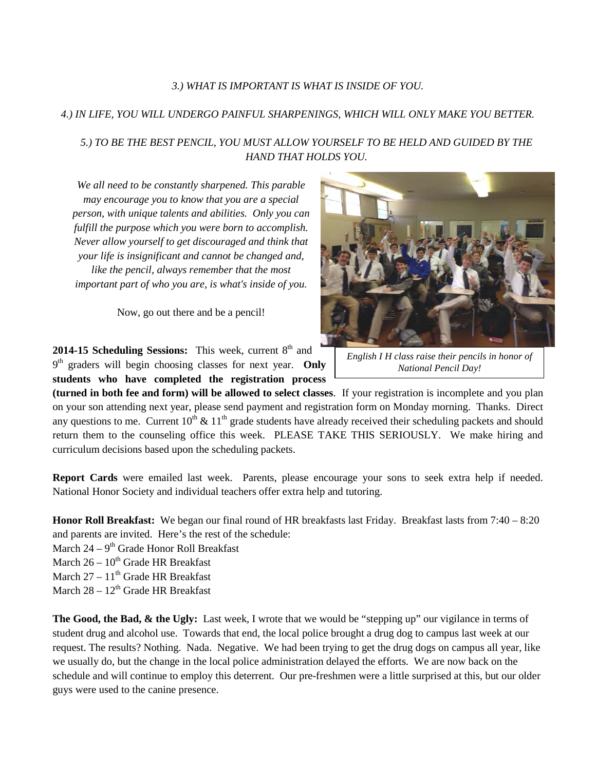#### *3.) WHAT IS IMPORTANT IS WHAT IS INSIDE OF YOU.*

#### *4.) IN LIFE, YOU WILL UNDERGO PAINFUL SHARPENINGS, WHICH WILL ONLY MAKE YOU BETTER.*

## *5.) TO BE THE BEST PENCIL, YOU MUST ALLOW YOURSELF TO BE HELD AND GUIDED BY THE HAND THAT HOLDS YOU.*

*We all need to be constantly sharpened. This parable may encourage you to know that you are a special person, with unique talents and abilities. Only you can fulfill the purpose which you were born to accomplish. Never allow yourself to get discouraged and think that your life is insignificant and cannot be changed and, like the pencil, always remember that the most important part of who you are, is what's inside of you.*

Now, go out there and be a pencil!

**2014-15 Scheduling Sessions:** This week, current 8<sup>th</sup> and 9<sup>th</sup> graders will begin choosing classes for next year. Only **students who have completed the registration process** 



**(turned in both fee and form) will be allowed to select classes**. If your registration is incomplete and you plan on your son attending next year, please send payment and registration form on Monday morning. Thanks. Direct any questions to me. Current  $10^{th} \& 11^{th}$  grade students have already received their scheduling packets and should return them to the counseling office this week. PLEASE TAKE THIS SERIOUSLY. We make hiring and curriculum decisions based upon the scheduling packets.

**Report Cards** were emailed last week. Parents, please encourage your sons to seek extra help if needed. National Honor Society and individual teachers offer extra help and tutoring.

**Honor Roll Breakfast:** We began our final round of HR breakfasts last Friday. Breakfast lasts from 7:40 – 8:20 and parents are invited. Here's the rest of the schedule:

- March  $24 9$ <sup>th</sup> Grade Honor Roll Breakfast
- March  $26 10^{th}$  Grade HR Breakfast
- March  $27 11$ <sup>th</sup> Grade HR Breakfast
- March  $28 12^{th}$  Grade HR Breakfast

**The Good, the Bad, & the Ugly:** Last week, I wrote that we would be "stepping up" our vigilance in terms of student drug and alcohol use. Towards that end, the local police brought a drug dog to campus last week at our request. The results? Nothing. Nada. Negative. We had been trying to get the drug dogs on campus all year, like we usually do, but the change in the local police administration delayed the efforts. We are now back on the schedule and will continue to employ this deterrent. Our pre-freshmen were a little surprised at this, but our older guys were used to the canine presence.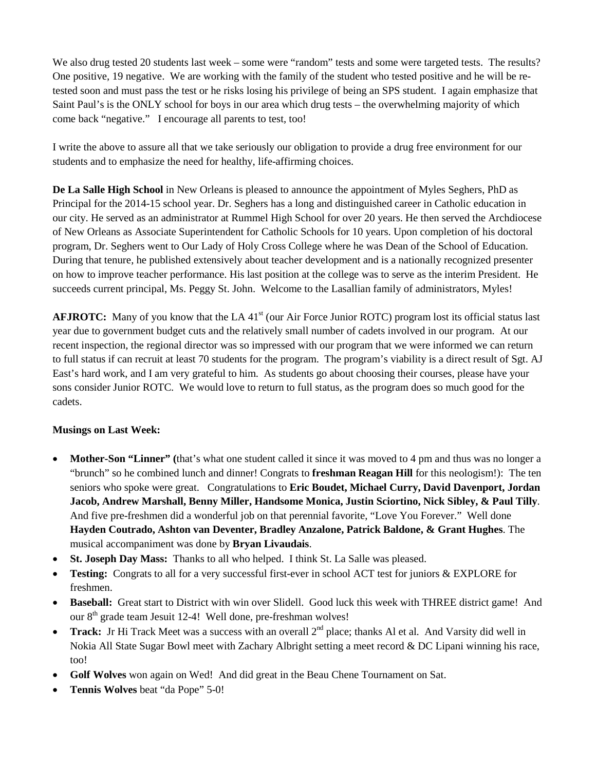We also drug tested 20 students last week – some were "random" tests and some were targeted tests. The results? One positive, 19 negative. We are working with the family of the student who tested positive and he will be retested soon and must pass the test or he risks losing his privilege of being an SPS student. I again emphasize that Saint Paul's is the ONLY school for boys in our area which drug tests – the overwhelming majority of which come back "negative." I encourage all parents to test, too!

I write the above to assure all that we take seriously our obligation to provide a drug free environment for our students and to emphasize the need for healthy, life-affirming choices.

**De La Salle High School** in New Orleans is pleased to announce the appointment of Myles Seghers, PhD as Principal for the 2014-15 school year. Dr. Seghers has a long and distinguished career in Catholic education in our city. He served as an administrator at Rummel High School for over 20 years. He then served the Archdiocese of New Orleans as Associate Superintendent for Catholic Schools for 10 years. Upon completion of his doctoral program, Dr. Seghers went to Our Lady of Holy Cross College where he was Dean of the School of Education. During that tenure, he published extensively about teacher development and is a nationally recognized presenter on how to improve teacher performance. His last position at the college was to serve as the interim President. He succeeds current principal, Ms. Peggy St. John. Welcome to the Lasallian family of administrators, Myles!

**AFJROTC:** Many of you know that the LA 41<sup>st</sup> (our Air Force Junior ROTC) program lost its official status last year due to government budget cuts and the relatively small number of cadets involved in our program. At our recent inspection, the regional director was so impressed with our program that we were informed we can return to full status if can recruit at least 70 students for the program. The program's viability is a direct result of Sgt. AJ East's hard work, and I am very grateful to him. As students go about choosing their courses, please have your sons consider Junior ROTC. We would love to return to full status, as the program does so much good for the cadets.

## **Musings on Last Week:**

- **Mother-Son "Linner"** (that's what one student called it since it was moved to 4 pm and thus was no longer a "brunch" so he combined lunch and dinner! Congrats to **freshman Reagan Hill** for this neologism!): The ten seniors who spoke were great. Congratulations to **Eric Boudet, Michael Curry, David Davenport, Jordan Jacob, Andrew Marshall, Benny Miller, Handsome Monica, Justin Sciortino, Nick Sibley, & Paul Tilly**. And five pre-freshmen did a wonderful job on that perennial favorite, "Love You Forever." Well done **Hayden Coutrado, Ashton van Deventer, Bradley Anzalone, Patrick Baldone, & Grant Hughes**. The musical accompaniment was done by **Bryan Livaudais**.
- **St. Joseph Day Mass:** Thanks to all who helped. I think St. La Salle was pleased.
- **Testing:** Congrats to all for a very successful first-ever in school ACT test for juniors & EXPLORE for freshmen.
- **Baseball:** Great start to District with win over Slidell. Good luck this week with THREE district game! And our 8<sup>th</sup> grade team Jesuit 12-4! Well done, pre-freshman wolves!
- **Track:** Jr Hi Track Meet was a success with an overall  $2^{nd}$  place; thanks Al et al. And Varsity did well in Nokia All State Sugar Bowl meet with Zachary Albright setting a meet record & DC Lipani winning his race, too!
- **Golf Wolves** won again on Wed! And did great in the Beau Chene Tournament on Sat.
- **Tennis Wolves** beat "da Pope" 5-0!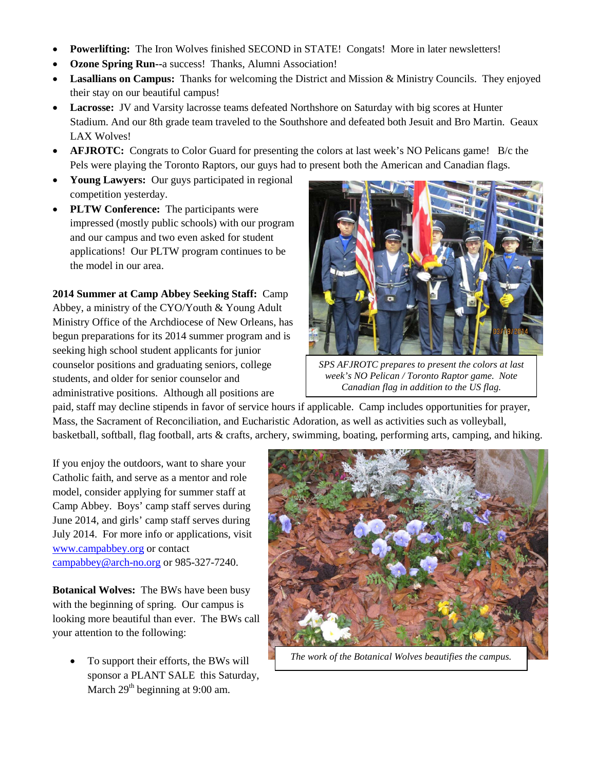- **Powerlifting:** The Iron Wolves finished SECOND in STATE! Congats! More in later newsletters!
- **Ozone Spring Run--**a success! Thanks, Alumni Association!
- **Lasallians on Campus:** Thanks for welcoming the District and Mission & Ministry Councils. They enjoyed their stay on our beautiful campus!
- **Lacrosse:** JV and Varsity lacrosse teams defeated Northshore on Saturday with big scores at Hunter Stadium. And our 8th grade team traveled to the Southshore and defeated both Jesuit and Bro Martin. Geaux LAX Wolves!
- **AFJROTC:** Congrats to Color Guard for presenting the colors at last week's NO Pelicans game! B/c the Pels were playing the Toronto Raptors, our guys had to present both the American and Canadian flags.
- **Young Lawyers:** Our guys participated in regional competition yesterday.
- **PLTW Conference:** The participants were impressed (mostly public schools) with our program and our campus and two even asked for student applications! Our PLTW program continues to be the model in our area.

**2014 Summer at Camp Abbey Seeking Staff:** Camp Abbey, a ministry of the CYO/Youth & Young Adult Ministry Office of the Archdiocese of New Orleans, has begun preparations for its 2014 summer program and is seeking high school student applicants for junior counselor positions and graduating seniors, college students, and older for senior counselor and administrative positions. Although all positions are



*SPS AFJROTC prepares to present the colors at last week's NO Pelican / Toronto Raptor game. Note Canadian flag in addition to the US flag.*

paid, staff may decline stipends in favor of service hours if applicable. Camp includes opportunities for prayer, Mass, the Sacrament of Reconciliation, and Eucharistic Adoration, as well as activities such as volleyball, basketball, softball, flag football, arts & crafts, archery, swimming, boating, performing arts, camping, and hiking.

If you enjoy the outdoors, want to share your Catholic faith, and serve as a mentor and role model, consider applying for summer staff at Camp Abbey. Boys' camp staff serves during June 2014, and girls' camp staff serves during July 2014. For more info or applications, visit [www.campabbey.org](http://www.campabbey.org/) or contact [campabbey@arch-no.org](mailto:campabbey@arch-no.org) or 985-327-7240.

**Botanical Wolves:** The BWs have been busy with the beginning of spring. Our campus is looking more beautiful than ever. The BWs call your attention to the following:

• To support their efforts, the BWs will sponsor a PLANT SALE this Saturday, March  $29<sup>th</sup>$  beginning at 9:00 am.



*The work of the Botanical Wolves beautifies the campus.*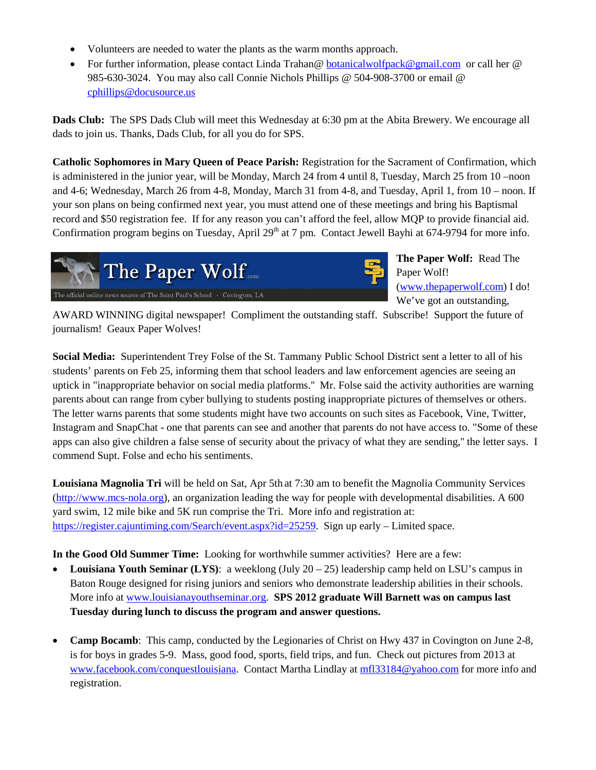- Volunteers are needed to water the plants as the warm months approach.
- For further information, please contact Linda Trahan@ [botanicalwolfpack@gmail.com](mailto:botanicalwolfpack@gmail.com) or call her @ 985-630-3024. You may also call Connie Nichols Phillips @ 504-908-3700 or email @ [cphillips@docusource.us](mailto:cphillips@docusource.us)

**Dads Club:** The SPS Dads Club will meet this Wednesday at 6:30 pm at the Abita Brewery. We encourage all dads to join us. Thanks, Dads Club, for all you do for SPS.

**Catholic Sophomores in Mary Queen of Peace Parish:** Registration for the Sacrament of Confirmation, which is administered in the junior year, will be Monday, March 24 from 4 until 8, Tuesday, March 25 from 10 –noon and 4-6; Wednesday, March 26 from 4-8, Monday, March 31 from 4-8, and Tuesday, April 1, from 10 – noon. If your son plans on being confirmed next year, you must attend one of these meetings and bring his Baptismal record and \$50 registration fee. If for any reason you can't afford the feel, allow MQP to provide financial aid. Confirmation program begins on Tuesday, April  $29<sup>th</sup>$  at 7 pm. Contact Jewell Bayhi at 674-9794 for more info.



**The Paper Wolf:** Read The Paper Wolf! [\(www.thepaperwolf.com\)](http://www.thepaperwolf.com/) I do! We've got an outstanding,

AWARD WINNING digital newspaper! Compliment the outstanding staff. Subscribe! Support the future of journalism! Geaux Paper Wolves!

**Social Media:** Superintendent Trey Folse of the St. Tammany Public School District sent a letter to all of his students' parents on Feb 25, informing them that school leaders and law enforcement agencies are seeing an uptick in "inappropriate behavior on social media platforms.'' Mr. Folse said the activity authorities are warning parents about can range from cyber bullying to students posting inappropriate pictures of themselves or others. The letter warns parents that some students might have two accounts on such sites as Facebook, Vine, Twitter, Instagram and SnapChat - one that parents can see and another that parents do not have access to. "Some of these apps can also give children a false sense of security about the privacy of what they are sending,'' the letter says. I commend Supt. Folse and echo his sentiments.

**Louisiana Magnolia Tri** will be held on Sat, Apr 5th at 7:30 am to benefit the Magnolia Community Services [\(http://www.mcs-nola.org\)](http://www.mcs-nola.org/), an organization leading the way for people with developmental disabilities. A 600 yard swim, 12 mile bike and 5K run comprise the Tri. More info and registration at: [https://register.cajuntiming.com/Search/event.aspx?id=25259.](https://register.cajuntiming.com/Search/event.aspx?id=25259) Sign up early – Limited space.

**In the Good Old Summer Time:** Looking for worthwhile summer activities? Here are a few:

- Louisiana Youth Seminar (LYS): a weeklong (July 20 25) leadership camp held on LSU's campus in Baton Rouge designed for rising juniors and seniors who demonstrate leadership abilities in their schools. More info a[t www.louisianayouthseminar.org.](http://www.louisianayouthseminar.org/) **SPS 2012 graduate Will Barnett was on campus last Tuesday during lunch to discuss the program and answer questions.**
- **Camp Bocamb:** This camp, conducted by the Legionaries of Christ on Hwy 437 in Covington on June 2-8, is for boys in grades 5-9. Mass, good food, sports, field trips, and fun. Check out pictures from 2013 at [www.facebook.com/conquestlouisiana.](http://www.facebook.com/conquestlouisiana) Contact Martha Lindlay at [mfl33184@yahoo.com](mailto:mfl33184@yahoo.com) for more info and registration.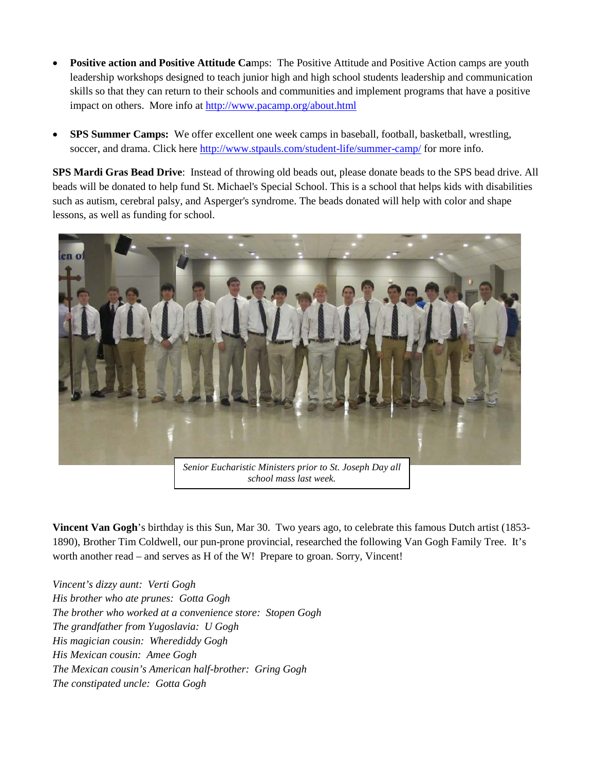- **Positive action and Positive Attitude Ca**mps: The Positive Attitude and Positive Action camps are youth leadership workshops designed to teach junior high and high school students leadership and communication skills so that they can return to their schools and communities and implement programs that have a positive impact on others. More info at<http://www.pacamp.org/about.html>
- **SPS Summer Camps:** We offer excellent one week camps in baseball, football, basketball, wrestling, soccer, and drama. Click here<http://www.stpauls.com/student-life/summer-camp/> for more info.

**SPS Mardi Gras Bead Drive**: Instead of throwing old beads out, please donate beads to the SPS bead drive. All beads will be donated to help fund St. Michael's Special School. This is a school that helps kids with disabilities such as autism, cerebral palsy, and Asperger's syndrome. The beads donated will help with color and shape lessons, as well as funding for school.



*school mass last week.*

**Vincent Van Gogh**'s birthday is this Sun, Mar 30. Two years ago, to celebrate this famous Dutch artist (1853- 1890), Brother Tim Coldwell, our pun-prone provincial, researched the following Van Gogh Family Tree. It's worth another read – and serves as H of the W! Prepare to groan. Sorry, Vincent!

*Vincent's dizzy aunt: Verti Gogh His brother who ate prunes: Gotta Gogh The brother who worked at a convenience store: Stopen Gogh The grandfather from Yugoslavia: U Gogh His magician cousin: Wherediddy Gogh His Mexican cousin: Amee Gogh The Mexican cousin's American half-brother: Gring Gogh The constipated uncle: Gotta Gogh*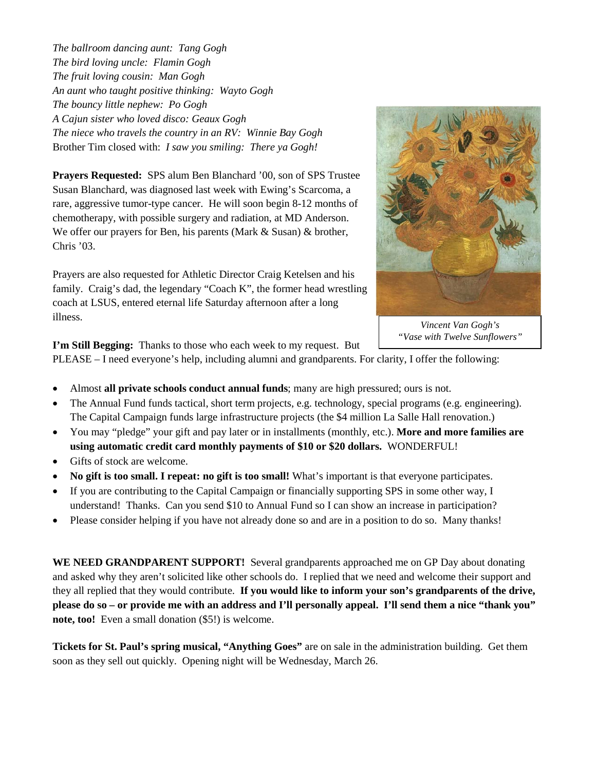*The ballroom dancing aunt: Tang Gogh The bird loving uncle: Flamin Gogh The fruit loving cousin: Man Gogh An aunt who taught positive thinking: Wayto Gogh The bouncy little nephew: Po Gogh A Cajun sister who loved disco: Geaux Gogh The niece who travels the country in an RV: Winnie Bay Gogh* Brother Tim closed with: *I saw you smiling: There ya Gogh!*

**Prayers Requested:** SPS alum Ben Blanchard '00, son of SPS Trustee Susan Blanchard, was diagnosed last week with Ewing's Scarcoma, a rare, aggressive tumor-type cancer. He will soon begin 8-12 months of chemotherapy, with possible surgery and radiation, at MD Anderson. We offer our prayers for Ben, his parents (Mark & Susan) & brother, Chris '03.

Prayers are also requested for Athletic Director Craig Ketelsen and his family. Craig's dad, the legendary "Coach K", the former head wrestling coach at LSUS, entered eternal life Saturday afternoon after a long illness.



*Vincent Van Gogh's "Vase with Twelve Sunflowers"*

**I'm Still Begging:** Thanks to those who each week to my request. But

PLEASE – I need everyone's help, including alumni and grandparents. For clarity, I offer the following:

- Almost **all private schools conduct annual funds**; many are high pressured; ours is not.
- The Annual Fund funds tactical, short term projects, e.g. technology, special programs (e.g. engineering). The Capital Campaign funds large infrastructure projects (the \$4 million La Salle Hall renovation.)
- You may "pledge" your gift and pay later or in installments (monthly, etc.). **More and more families are using automatic credit card monthly payments of \$10 or \$20 dollars.** WONDERFUL!
- Gifts of stock are welcome.
- **No gift is too small. I repeat: no gift is too small!** What's important is that everyone participates.
- If you are contributing to the Capital Campaign or financially supporting SPS in some other way, I understand! Thanks. Can you send \$10 to Annual Fund so I can show an increase in participation?
- Please consider helping if you have not already done so and are in a position to do so. Many thanks!

**WE NEED GRANDPARENT SUPPORT!** Several grandparents approached me on GP Day about donating and asked why they aren't solicited like other schools do. I replied that we need and welcome their support and they all replied that they would contribute. **If you would like to inform your son's grandparents of the drive, please do so – or provide me with an address and I'll personally appeal. I'll send them a nice "thank you" note, too!** Even a small donation (\$5!) is welcome.

**Tickets for St. Paul's spring musical, "Anything Goes"** are on sale in the administration building. Get them soon as they sell out quickly. Opening night will be Wednesday, March 26.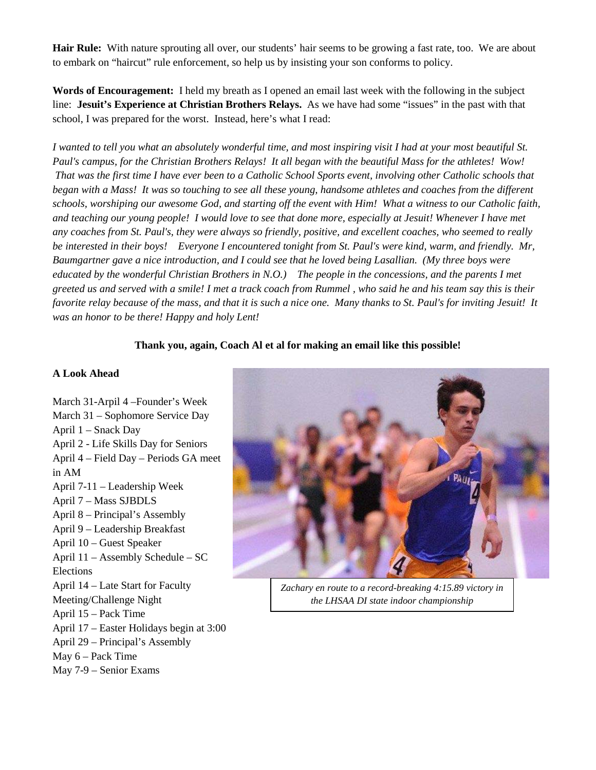**Hair Rule:** With nature sprouting all over, our students' hair seems to be growing a fast rate, too. We are about to embark on "haircut" rule enforcement, so help us by insisting your son conforms to policy.

**Words of Encouragement:** I held my breath as I opened an email last week with the following in the subject line: **Jesuit's Experience at Christian Brothers Relays.** As we have had some "issues" in the past with that school, I was prepared for the worst. Instead, here's what I read:

*I wanted to tell you what an absolutely wonderful time, and most inspiring visit I had at your most beautiful St. Paul's campus, for the Christian Brothers Relays! It all began with the beautiful Mass for the athletes! Wow! That was the first time I have ever been to a Catholic School Sports event, involving other Catholic schools that began with a Mass! It was so touching to see all these young, handsome athletes and coaches from the different schools, worshiping our awesome God, and starting off the event with Him! What a witness to our Catholic faith, and teaching our young people! I would love to see that done more, especially at Jesuit! Whenever I have met any coaches from St. Paul's, they were always so friendly, positive, and excellent coaches, who seemed to really be interested in their boys! Everyone I encountered tonight from St. Paul's were kind, warm, and friendly. Mr, Baumgartner gave a nice introduction, and I could see that he loved being Lasallian. (My three boys were educated by the wonderful Christian Brothers in N.O.) The people in the concessions, and the parents I met greeted us and served with a smile! I met a track coach from Rummel , who said he and his team say this is their favorite relay because of the mass, and that it is such a nice one. Many thanks to St. Paul's for inviting Jesuit! It was an honor to be there! Happy and holy Lent!*

#### **Thank you, again, Coach Al et al for making an email like this possible!**

#### **A Look Ahead**

March 31-Arpil 4 –Founder's Week March 31 – Sophomore Service Day April 1 – Snack Day April 2 - Life Skills Day for Seniors April 4 – Field Day – Periods GA meet in AM April 7-11 – Leadership Week April 7 – Mass SJBDLS April 8 – Principal's Assembly April 9 – Leadership Breakfast April 10 – Guest Speaker April 11 – Assembly Schedule – SC Elections April 14 – Late Start for Faculty Meeting/Challenge Night April 15 – Pack Time April 17 – Easter Holidays begin at 3:00 April 29 – Principal's Assembly May 6 – Pack Time May 7-9 – Senior Exams



*Zachary en route to a record-breaking 4:15.89 victory in the LHSAA DI state indoor championship*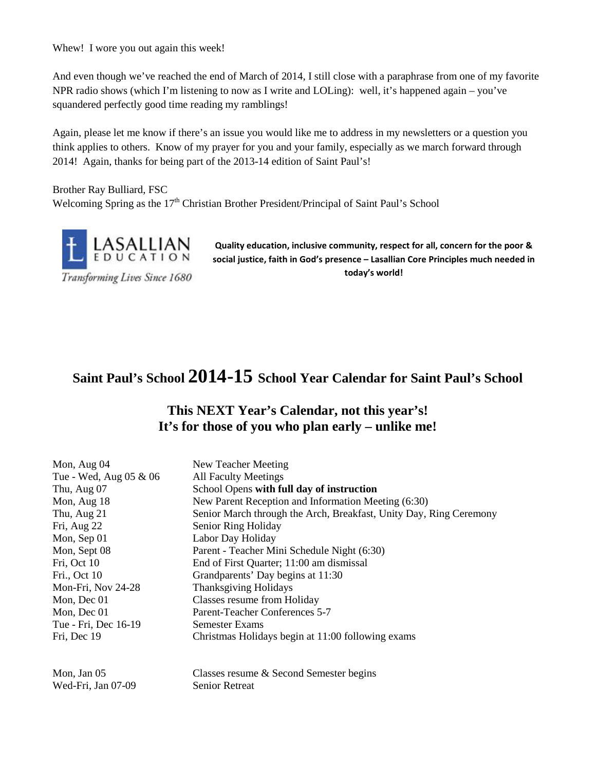Whew! I wore you out again this week!

And even though we've reached the end of March of 2014, I still close with a paraphrase from one of my favorite NPR radio shows (which I'm listening to now as I write and LOLing): well, it's happened again – you've squandered perfectly good time reading my ramblings!

Again, please let me know if there's an issue you would like me to address in my newsletters or a question you think applies to others. Know of my prayer for you and your family, especially as we march forward through 2014! Again, thanks for being part of the 2013-14 edition of Saint Paul's!

Brother Ray Bulliard, FSC Welcoming Spring as the  $17<sup>th</sup>$  Christian Brother President/Principal of Saint Paul's School



**Quality education, inclusive community, respect for all, concern for the poor & social justice, faith in God's presence – Lasallian Core Principles much needed in today's world!**

# **Saint Paul's School 2014-15 School Year Calendar for Saint Paul's School**

# **This NEXT Year's Calendar, not this year's! It's for those of you who plan early – unlike me!**

| New Teacher Meeting                                                |
|--------------------------------------------------------------------|
| <b>All Faculty Meetings</b>                                        |
| School Opens with full day of instruction                          |
| New Parent Reception and Information Meeting (6:30)                |
| Senior March through the Arch, Breakfast, Unity Day, Ring Ceremony |
| Senior Ring Holiday                                                |
| Labor Day Holiday                                                  |
| Parent - Teacher Mini Schedule Night (6:30)                        |
| End of First Quarter; 11:00 am dismissal                           |
| Grandparents' Day begins at 11:30                                  |
| <b>Thanksgiving Holidays</b>                                       |
| Classes resume from Holiday                                        |
| Parent-Teacher Conferences 5-7                                     |
| Semester Exams                                                     |
| Christmas Holidays begin at 11:00 following exams                  |
| Classes resume & Second Semester begins                            |
|                                                                    |

Wed-Fri, Jan 07-09 Senior Retreat